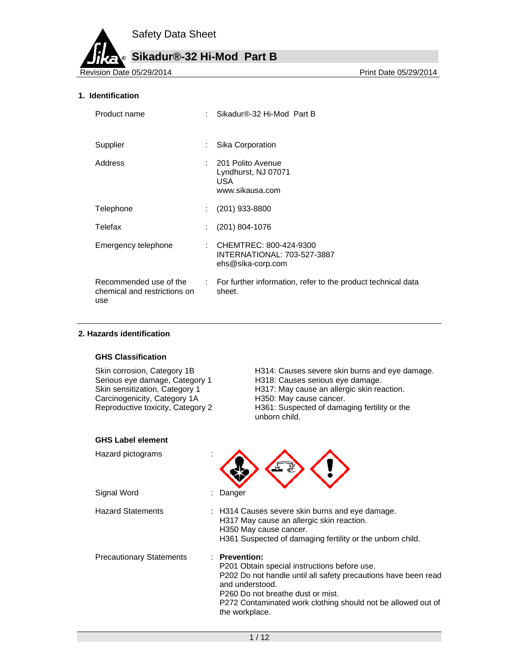# **Sikadur®-32 Hi-Mod Part B**

Revision Date 05/29/2014

## **1. Identification**

| Product name                                                  |   | Sikadur®-32 Hi-Mod Part B                                                           |
|---------------------------------------------------------------|---|-------------------------------------------------------------------------------------|
| Supplier                                                      | ÷ | Sika Corporation                                                                    |
| Address                                                       |   | 201 Polito Avenue<br>Lyndhurst, NJ 07071<br>USA.<br>www.sikausa.com                 |
| Telephone                                                     |   | $(201)$ 933-8800                                                                    |
| Telefax                                                       |   | $(201)$ 804-1076                                                                    |
| Emergency telephone                                           |   | : CHEMTREC: 800-424-9300<br><b>INTERNATIONAL: 703-527-3887</b><br>ehs@sika-corp.com |
| Recommended use of the<br>chemical and restrictions on<br>use |   | : For further information, refer to the product technical data<br>sheet.            |

#### **2. Hazards identification**

#### **GHS Classification**

Carcinogenicity, Category 1A<br>Reproductive toxicity, Category 2

Skin corrosion, Category 1B **H314: Causes severe skin burns and eye damage.** Serious eye damage, Category 1 H318: Causes serious eye damage.<br>Skin sensitization, Category 1 H317: May cause an allergic skin rea H317: May cause an allergic skin reaction.<br>H350: May cause cancer. H361: Suspected of damaging fertility or the unborn child.

| <b>GHS Label element</b>        |                                                                                                                                                                                                                                                                           |
|---------------------------------|---------------------------------------------------------------------------------------------------------------------------------------------------------------------------------------------------------------------------------------------------------------------------|
| Hazard pictograms               |                                                                                                                                                                                                                                                                           |
| Signal Word                     | Danger                                                                                                                                                                                                                                                                    |
| <b>Hazard Statements</b>        | : H314 Causes severe skin burns and eye damage.<br>H317 May cause an allergic skin reaction.<br>H350 May cause cancer.<br>H361 Suspected of damaging fertility or the unborn child.                                                                                       |
| <b>Precautionary Statements</b> | : Prevention:<br>P201 Obtain special instructions before use.<br>P202 Do not handle until all safety precautions have been read<br>and understood.<br>P260 Do not breathe dust or mist.<br>P272 Contaminated work clothing should not be allowed out of<br>the workplace. |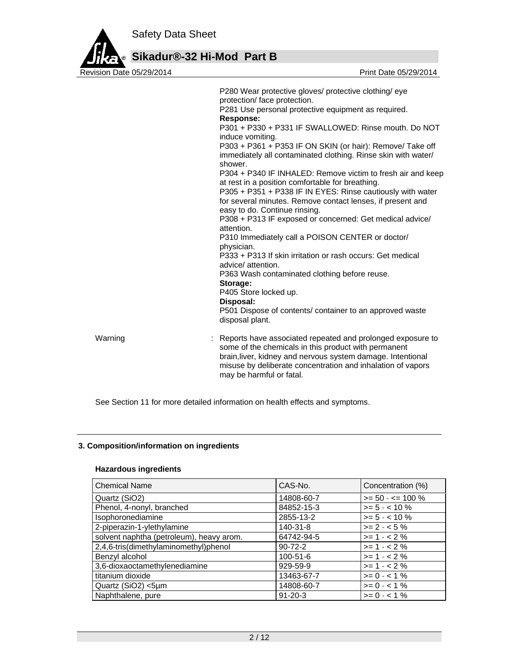

**Sikadur®-32 Hi-Mod Part B**

|         | P280 Wear protective gloves/ protective clothing/ eye<br>protection/ face protection.<br>P281 Use personal protective equipment as required.<br><b>Response:</b><br>P301 + P330 + P331 IF SWALLOWED: Rinse mouth. Do NOT<br>induce vomiting.<br>P303 + P361 + P353 IF ON SKIN (or hair): Remove/ Take off<br>immediately all contaminated clothing. Rinse skin with water/<br>shower.<br>P304 + P340 IF INHALED: Remove victim to fresh air and keep<br>at rest in a position comfortable for breathing.<br>P305 + P351 + P338 IF IN EYES: Rinse cautiously with water<br>for several minutes. Remove contact lenses, if present and<br>easy to do. Continue rinsing.<br>P308 + P313 IF exposed or concerned: Get medical advice/<br>attention.<br>P310 Immediately call a POISON CENTER or doctor/<br>physician.<br>P333 + P313 If skin irritation or rash occurs: Get medical<br>advice/attention.<br>P363 Wash contaminated clothing before reuse.<br>Storage:<br>P405 Store locked up.<br>Disposal:<br>P501 Dispose of contents/ container to an approved waste<br>disposal plant. |
|---------|----------------------------------------------------------------------------------------------------------------------------------------------------------------------------------------------------------------------------------------------------------------------------------------------------------------------------------------------------------------------------------------------------------------------------------------------------------------------------------------------------------------------------------------------------------------------------------------------------------------------------------------------------------------------------------------------------------------------------------------------------------------------------------------------------------------------------------------------------------------------------------------------------------------------------------------------------------------------------------------------------------------------------------------------------------------------------------------|
| Warning | : Reports have associated repeated and prolonged exposure to<br>some of the chemicals in this product with permanent<br>brain, liver, kidney and nervous system damage. Intentional<br>misuse by deliberate concentration and inhalation of vapors<br>may be harmful or fatal.                                                                                                                                                                                                                                                                                                                                                                                                                                                                                                                                                                                                                                                                                                                                                                                                         |

See Section 11 for more detailed information on health effects and symptoms.

# **3. Composition/information on ingredients**

## **Hazardous ingredients**

| <b>Chemical Name</b>                     | CAS-No.        | Concentration (%)   |
|------------------------------------------|----------------|---------------------|
| Quartz (SiO2)                            | 14808-60-7     | $>= 50 - 5 = 100 %$ |
| Phenol, 4-nonyl, branched                | 84852-15-3     | $>= 5 - < 10 \%$    |
| Isophoronediamine                        | 2855-13-2      | $>= 5 - < 10 \%$    |
| 2-piperazin-1-ylethylamine               | 140-31-8       | $>= 2 - 5%$         |
| solvent naphtha (petroleum), heavy arom. | 64742-94-5     | $>= 1 - 2%$         |
| 2,4,6-tris(dimethylaminomethyl)phenol    | $90 - 72 - 2$  | $>= 1 - 2%$         |
| Benzyl alcohol                           | $100 - 51 - 6$ | $>= 1 - 2%$         |
| 3,6-dioxaoctamethylenediamine            | 929-59-9       | $>= 1 - 2%$         |
| titanium dioxide                         | 13463-67-7     | $>= 0 - 1\%$        |
| Quartz (SiO2) <5µm                       | 14808-60-7     | $>= 0 - 1\%$        |
| Naphthalene, pure                        | $91 - 20 - 3$  | $>= 0 - 1\%$        |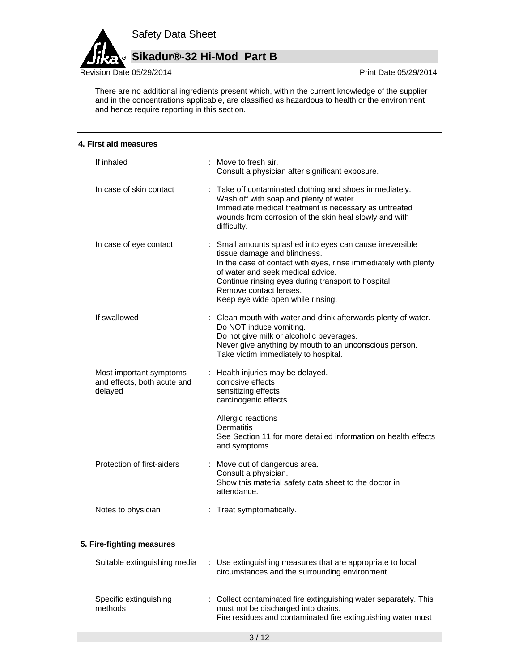

à.

There are no additional ingredients present which, within the current knowledge of the supplier and in the concentrations applicable, are classified as hazardous to health or the environment and hence require reporting in this section.

| 4. First aid measures                                             |                                                                                                                                                                                                                                                                                                                         |
|-------------------------------------------------------------------|-------------------------------------------------------------------------------------------------------------------------------------------------------------------------------------------------------------------------------------------------------------------------------------------------------------------------|
| If inhaled                                                        | : Move to fresh air.<br>Consult a physician after significant exposure.                                                                                                                                                                                                                                                 |
| In case of skin contact                                           | : Take off contaminated clothing and shoes immediately.<br>Wash off with soap and plenty of water.<br>Immediate medical treatment is necessary as untreated<br>wounds from corrosion of the skin heal slowly and with<br>difficulty.                                                                                    |
| In case of eye contact                                            | : Small amounts splashed into eyes can cause irreversible<br>tissue damage and blindness.<br>In the case of contact with eyes, rinse immediately with plenty<br>of water and seek medical advice.<br>Continue rinsing eyes during transport to hospital.<br>Remove contact lenses.<br>Keep eye wide open while rinsing. |
| If swallowed                                                      | Clean mouth with water and drink afterwards plenty of water.<br>Do NOT induce vomiting.<br>Do not give milk or alcoholic beverages.<br>Never give anything by mouth to an unconscious person.<br>Take victim immediately to hospital.                                                                                   |
| Most important symptoms<br>and effects, both acute and<br>delayed | : Health injuries may be delayed.<br>corrosive effects<br>sensitizing effects<br>carcinogenic effects                                                                                                                                                                                                                   |
|                                                                   | Allergic reactions<br>Dermatitis<br>See Section 11 for more detailed information on health effects<br>and symptoms.                                                                                                                                                                                                     |
| Protection of first-aiders                                        | : Move out of dangerous area.<br>Consult a physician.<br>Show this material safety data sheet to the doctor in<br>attendance.                                                                                                                                                                                           |
| Notes to physician                                                | : Treat symptomatically.                                                                                                                                                                                                                                                                                                |
| 5. Fire-fighting measures                                         |                                                                                                                                                                                                                                                                                                                         |
| Suitable extinguishing media                                      | Use extinguishing measures that are appropriate to local                                                                                                                                                                                                                                                                |

#### circumstances and the surrounding environment. Specific extinguishing methods : Collect contaminated fire extinguishing water separately. This must not be discharged into drains. Fire residues and contaminated fire extinguishing water must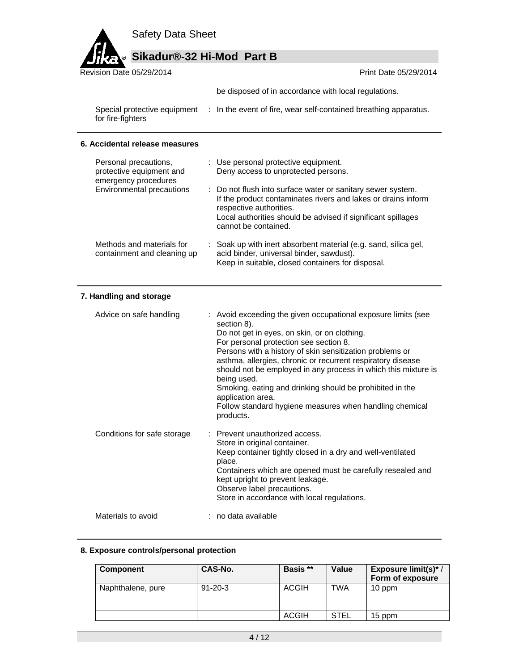# **Sikadur®-32 Hi-Mod Part B**

Revision Date 05/29/2014 Print Date 05/29/2014

be disposed of in accordance with local regulations.

Special protective equipment : In the event of fire, wear self-contained breathing apparatus. for fire-fighters

## **6. Accidental release measures**

| Personal precautions,<br>protective equipment and<br>emergency procedures | : Use personal protective equipment.<br>Deny access to unprotected persons.                                                                                                                                                                     |
|---------------------------------------------------------------------------|-------------------------------------------------------------------------------------------------------------------------------------------------------------------------------------------------------------------------------------------------|
| Environmental precautions                                                 | : Do not flush into surface water or sanitary sewer system.<br>If the product contaminates rivers and lakes or drains inform<br>respective authorities.<br>Local authorities should be advised if significant spillages<br>cannot be contained. |
| Methods and materials for<br>containment and cleaning up                  | : Soak up with inert absorbent material (e.g. sand, silica gel,<br>acid binder, universal binder, sawdust).<br>Keep in suitable, closed containers for disposal.                                                                                |

## **7. Handling and storage**

| Advice on safe handling     | : Avoid exceeding the given occupational exposure limits (see<br>section 8).<br>Do not get in eyes, on skin, or on clothing.<br>For personal protection see section 8.<br>Persons with a history of skin sensitization problems or<br>asthma, allergies, chronic or recurrent respiratory disease<br>should not be employed in any process in which this mixture is<br>being used.<br>Smoking, eating and drinking should be prohibited in the<br>application area.<br>Follow standard hygiene measures when handling chemical<br>products. |  |
|-----------------------------|---------------------------------------------------------------------------------------------------------------------------------------------------------------------------------------------------------------------------------------------------------------------------------------------------------------------------------------------------------------------------------------------------------------------------------------------------------------------------------------------------------------------------------------------|--|
| Conditions for safe storage | : Prevent unauthorized access.<br>Store in original container.<br>Keep container tightly closed in a dry and well-ventilated<br>place.<br>Containers which are opened must be carefully resealed and<br>kept upright to prevent leakage.<br>Observe label precautions.<br>Store in accordance with local regulations.                                                                                                                                                                                                                       |  |
| Materials to avoid          | : no data available                                                                                                                                                                                                                                                                                                                                                                                                                                                                                                                         |  |

## **8. Exposure controls/personal protection**

| <b>Component</b>  | CAS-No.       | Basis **     | Value | Exposure limit(s)*/<br>Form of exposure |
|-------------------|---------------|--------------|-------|-----------------------------------------|
| Naphthalene, pure | $91 - 20 - 3$ | <b>ACGIH</b> | TWA   | 10 ppm                                  |
|                   |               | <b>ACGIH</b> | STEL  | 15 ppm                                  |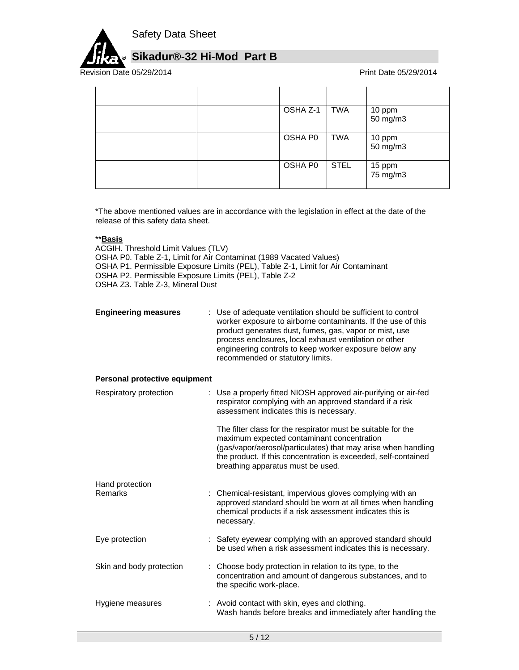

# **Sikadur®-32 Hi-Mod Part B**

Revision Date 05/29/2014

| OSHA Z-1 | <b>TWA</b>  | 10 ppm<br>50 mg/m3 |
|----------|-------------|--------------------|
| OSHA P0  | <b>TWA</b>  | 10 ppm<br>50 mg/m3 |
| OSHA P0  | <b>STEL</b> | 15 ppm<br>75 mg/m3 |

\*The above mentioned values are in accordance with the legislation in effect at the date of the release of this safety data sheet.

## \*\***Basis**

ACGIH. Threshold Limit Values (TLV) OSHA P0. Table Z-1, Limit for Air Contaminat (1989 Vacated Values) OSHA P1. Permissible Exposure Limits (PEL), Table Z-1, Limit for Air Contaminant OSHA P2. Permissible Exposure Limits (PEL), Table Z-2 OSHA Z3. Table Z-3, Mineral Dust

| <b>Engineering measures</b>   | Use of adequate ventilation should be sufficient to control<br>worker exposure to airborne contaminants. If the use of this<br>product generates dust, fumes, gas, vapor or mist, use<br>process enclosures, local exhaust ventilation or other<br>engineering controls to keep worker exposure below any<br>recommended or statutory limits. |
|-------------------------------|-----------------------------------------------------------------------------------------------------------------------------------------------------------------------------------------------------------------------------------------------------------------------------------------------------------------------------------------------|
| Personal protective equipment |                                                                                                                                                                                                                                                                                                                                               |
| Respiratory protection        | : Use a properly fitted NIOSH approved air-purifying or air-fed<br>respirator complying with an approved standard if a risk<br>assessment indicates this is necessary.                                                                                                                                                                        |
|                               | The filter class for the respirator must be suitable for the<br>maximum expected contaminant concentration<br>(gas/vapor/aerosol/particulates) that may arise when handling<br>the product. If this concentration is exceeded, self-contained<br>breathing apparatus must be used.                                                            |
| Hand protection<br>Remarks    | : Chemical-resistant, impervious gloves complying with an<br>approved standard should be worn at all times when handling<br>chemical products if a risk assessment indicates this is<br>necessary.                                                                                                                                            |
| Eye protection                | : Safety eyewear complying with an approved standard should<br>be used when a risk assessment indicates this is necessary.                                                                                                                                                                                                                    |
| Skin and body protection      | : Choose body protection in relation to its type, to the<br>concentration and amount of dangerous substances, and to<br>the specific work-place.                                                                                                                                                                                              |
| Hygiene measures              | : Avoid contact with skin, eyes and clothing.<br>Wash hands before breaks and immediately after handling the                                                                                                                                                                                                                                  |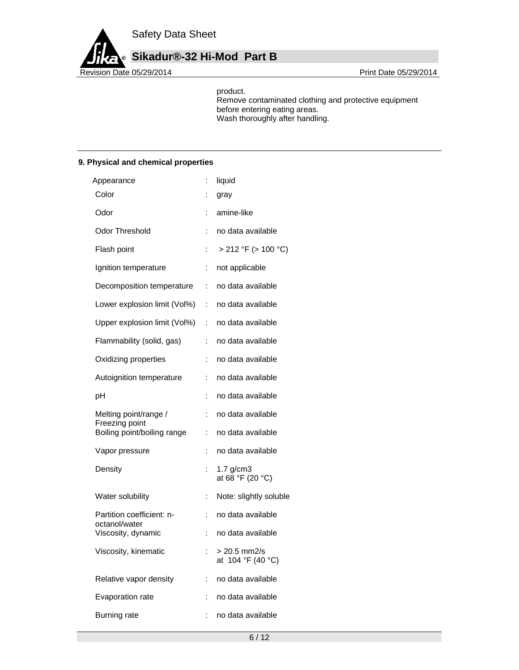**Sikadur®-32 Hi-Mod Part B**

Revision Date 05/29/2014 **Revision Date 05/29/2014** 

product.

Remove contaminated clothing and protective equipment before entering eating areas. Wash thoroughly after handling.

## **9. Physical and chemical properties**

| Appearance                                 |    | liquid                              |
|--------------------------------------------|----|-------------------------------------|
| Color                                      |    | gray                                |
| Odor                                       |    | amine-like                          |
| Odor Threshold                             | :  | no data available                   |
| Flash point                                | İ. | $> 212$ °F ( $> 100$ °C)            |
| Ignition temperature                       | ÷  | not applicable                      |
| Decomposition temperature                  | t. | no data available                   |
| Lower explosion limit (Vol%)               | ÷. | no data available                   |
| Upper explosion limit (Vol%)               | ÷  | no data available                   |
| Flammability (solid, gas)                  | ÷  | no data available                   |
| Oxidizing properties                       | t  | no data available                   |
| Autoignition temperature                   | ÷  | no data available                   |
| рH                                         | :  | no data available                   |
| Melting point/range /<br>Freezing point    | ÷  | no data available                   |
| Boiling point/boiling range                | İ. | no data available                   |
| Vapor pressure                             | ÷  | no data available                   |
| Density                                    |    | $1.7$ g/cm $3$<br>at 68 °F (20 °C)  |
| Water solubility                           | ÷  | Note: slightly soluble              |
| Partition coefficient: n-<br>octanol/water | ÷  | no data available                   |
| Viscosity, dynamic                         | ÷  | no data available                   |
| Viscosity, kinematic                       |    | $> 20.5$ mm2/s<br>at 104 °F (40 °C) |
| Relative vapor density                     | ÷. | no data available                   |
| Evaporation rate                           |    | no data available                   |
| <b>Burning rate</b>                        | ÷  | no data available                   |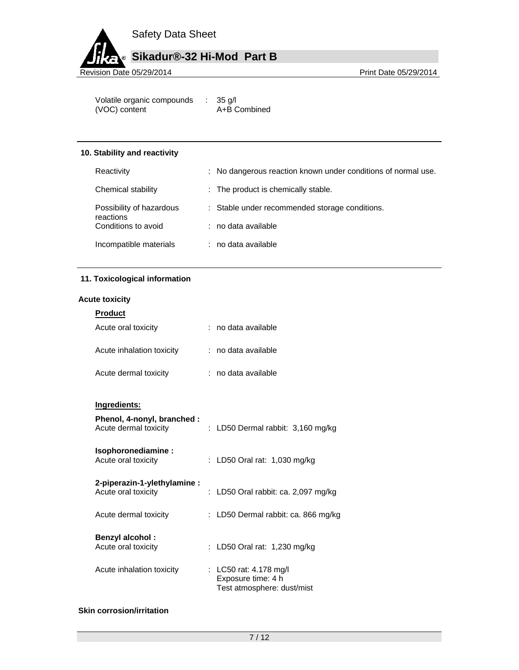

Volatile organic compounds : 35 g/l (VOC) content A+B Combined

#### **10. Stability and reactivity**

| Reactivity                            | : No dangerous reaction known under conditions of normal use. |
|---------------------------------------|---------------------------------------------------------------|
| Chemical stability                    | : The product is chemically stable.                           |
| Possibility of hazardous<br>reactions | : Stable under recommended storage conditions.                |
| Conditions to avoid                   | $:$ no data available                                         |
| Incompatible materials                | : no data available                                           |

## **11. Toxicological information**

#### **Acute toxicity**

| <b>Product</b>            |                     |
|---------------------------|---------------------|
| Acute oral toxicity       | : no data available |
| Acute inhalation toxicity | : no data available |
| Acute dermal toxicity     | : no data available |

## **Ingredients:**

| Phenol, 4-nonyl, branched :<br>Acute dermal toxicity | : LD50 Dermal rabbit: $3,160$ mg/kg                                        |
|------------------------------------------------------|----------------------------------------------------------------------------|
| Isophoronediamine:<br>Acute oral toxicity            | : LD50 Oral rat: $1,030$ mg/kg                                             |
| 2-piperazin-1-ylethylamine:<br>Acute oral toxicity   | : LD50 Oral rabbit: ca. 2,097 mg/kg                                        |
| Acute dermal toxicity                                | : LD50 Dermal rabbit: ca. 866 mg/kg                                        |
| <b>Benzyl alcohol:</b><br>Acute oral toxicity        | : LD50 Oral rat: $1,230$ mg/kg                                             |
| Acute inhalation toxicity                            | : LC50 rat: 4.178 mg/l<br>Exposure time: 4 h<br>Test atmosphere: dust/mist |

## **Skin corrosion/irritation**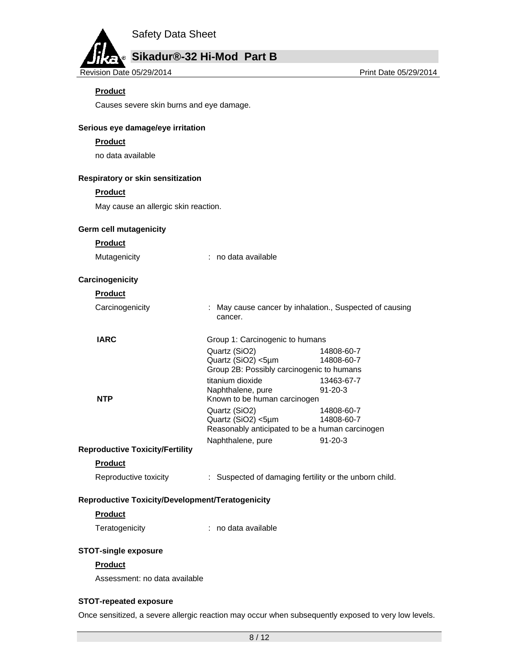# **Sikadur®-32 Hi-Mod Part B**

Revision Date 05/29/2014 **Print Date 05/29/2014** Print Date 05/29/2014

# **Product**

Causes severe skin burns and eye damage.

## **Serious eye damage/eye irritation**

#### **Product**

no data available

#### **Respiratory or skin sensitization**

#### **Product**

May cause an allergic skin reaction.

## **Germ cell mutagenicity**

**Product** 

| Mutagenicity | no data available |
|--------------|-------------------|
|              |                   |

#### **Carcinogenicity**

## **Product**

| Carcinogenicity | : May cause cancer by inhalation., Suspected of causing<br>cancer. |
|-----------------|--------------------------------------------------------------------|
|                 |                                                                    |

| <b>IARC</b> | Group 1: Carcinogenic to humans                 |               |
|-------------|-------------------------------------------------|---------------|
|             | Quartz (SiO2)                                   | 14808-60-7    |
|             | Quartz (SiO2) <5µm                              | 14808-60-7    |
|             | Group 2B: Possibly carcinogenic to humans       |               |
|             | titanium dioxide                                | 13463-67-7    |
|             | Naphthalene, pure                               | $91 - 20 - 3$ |
| <b>NTP</b>  | Known to be human carcinogen                    |               |
|             | Quartz (SiO2)                                   | 14808-60-7    |
|             | Quartz (SiO2) <5µm                              | 14808-60-7    |
|             | Reasonably anticipated to be a human carcinogen |               |
|             | Naphthalene, pure                               | $91 - 20 - 3$ |
|             |                                                 |               |

## **Reproductive Toxicity/Fertility**

#### **Product**

| Reproductive toxicity | Suspected of damaging fertility or the unborn child. |
|-----------------------|------------------------------------------------------|
|-----------------------|------------------------------------------------------|

## **Reproductive Toxicity/Development/Teratogenicity**

## **Product**

Teratogenicity **interpretatally** in a data available

## **STOT-single exposure**

## **Product**

Assessment: no data available

## **STOT-repeated exposure**

Once sensitized, a severe allergic reaction may occur when subsequently exposed to very low levels.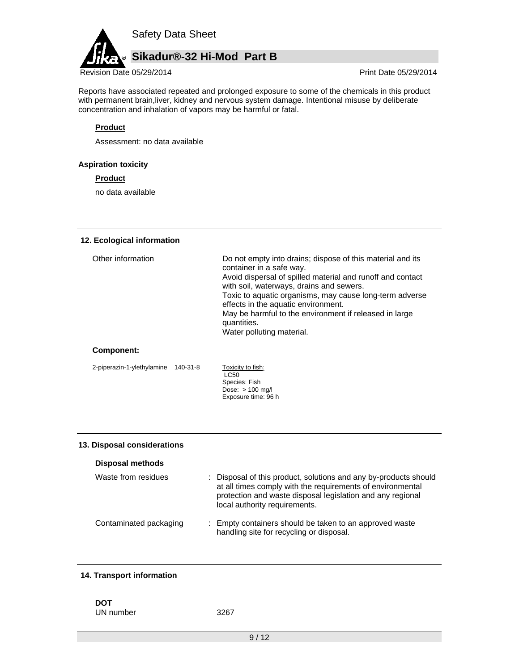

Reports have associated repeated and prolonged exposure to some of the chemicals in this product with permanent brain,liver, kidney and nervous system damage. Intentional misuse by deliberate concentration and inhalation of vapors may be harmful or fatal.

# **Product**

Assessment: no data available

## **Aspiration toxicity**

**Product** 

no data available

## **12. Ecological information**

| Other information | Do not empty into drains; dispose of this material and its<br>container in a safe way.<br>Avoid dispersal of spilled material and runoff and contact<br>with soil, waterways, drains and sewers.<br>Toxic to aquatic organisms, may cause long-term adverse<br>effects in the aquatic environment.<br>May be harmful to the environment if released in large<br>quantities.<br>Water polluting material. |
|-------------------|----------------------------------------------------------------------------------------------------------------------------------------------------------------------------------------------------------------------------------------------------------------------------------------------------------------------------------------------------------------------------------------------------------|
|                   |                                                                                                                                                                                                                                                                                                                                                                                                          |

## **Component:**

2-piperazin-1-ylethylamine 140-31-8 Toxicity to fish:

LC50 Species: Fish Dose:  $> 100$  mg/l Exposure time: 96 h

## **13. Disposal considerations**

#### **Disposal methods**

| Waste from residues    | : Disposal of this product, solutions and any by-products should<br>at all times comply with the requirements of environmental<br>protection and waste disposal legislation and any regional<br>local authority requirements. |
|------------------------|-------------------------------------------------------------------------------------------------------------------------------------------------------------------------------------------------------------------------------|
| Contaminated packaging | : Empty containers should be taken to an approved waste<br>handling site for recycling or disposal.                                                                                                                           |

## **14. Transport information**

**DOT** 

UN number 3267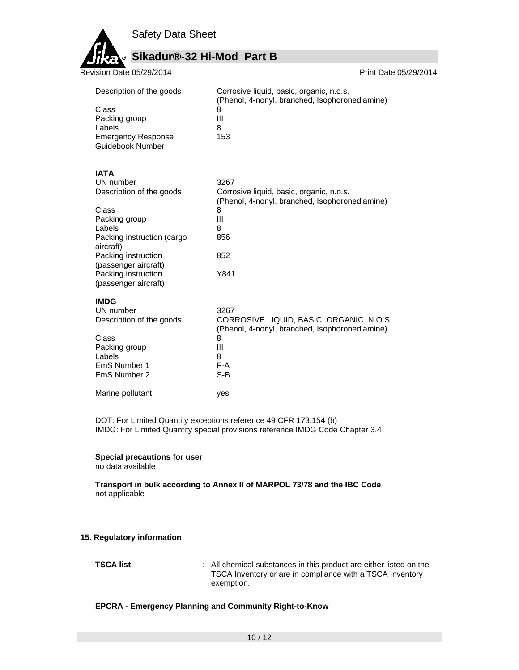

# **Sikadur®-32 Hi-Mod Part B**

| Revision Date 05/29/2014                                                                                                                                                                                                          | Print Date 05/29/2014                                                                                                                   |
|-----------------------------------------------------------------------------------------------------------------------------------------------------------------------------------------------------------------------------------|-----------------------------------------------------------------------------------------------------------------------------------------|
| Description of the goods<br>Class<br>Packing group<br>Labels<br><b>Emergency Response</b><br>Guidebook Number                                                                                                                     | Corrosive liquid, basic, organic, n.o.s.<br>(Phenol, 4-nonyl, branched, Isophoronediamine)<br>8<br>Ш<br>8<br>153                        |
| <b>IATA</b><br>UN number<br>Description of the goods<br>Class<br>Packing group<br>Labels<br>Packing instruction (cargo<br>aircraft)<br>Packing instruction<br>(passenger aircraft)<br>Packing instruction<br>(passenger aircraft) | 3267<br>Corrosive liquid, basic, organic, n.o.s.<br>(Phenol, 4-nonyl, branched, Isophoronediamine)<br>8<br>Ш<br>8<br>856<br>852<br>Y841 |
| <b>IMDG</b><br>UN number<br>Description of the goods<br>Class<br>Packing group<br>Labels<br>EmS Number 1<br>EmS Number 2                                                                                                          | 3267<br>CORROSIVE LIQUID, BASIC, ORGANIC, N.O.S.<br>(Phenol, 4-nonyl, branched, Isophoronediamine)<br>8<br>Ш<br>8<br>$F-A$<br>$S-B$     |
| Marine pollutant                                                                                                                                                                                                                  | yes                                                                                                                                     |

DOT: For Limited Quantity exceptions reference 49 CFR 173.154 (b) IMDG: For Limited Quantity special provisions reference IMDG Code Chapter 3.4

# **Special precautions for user**

no data available

## **Transport in bulk according to Annex II of MARPOL 73/78 and the IBC Code**  not applicable

## **15. Regulatory information**

**TSCA list** : All chemical substances in this product are either listed on the TSCA Inventory or are in compliance with a TSCA Inventory exemption.

# **EPCRA - Emergency Planning and Community Right-to-Know**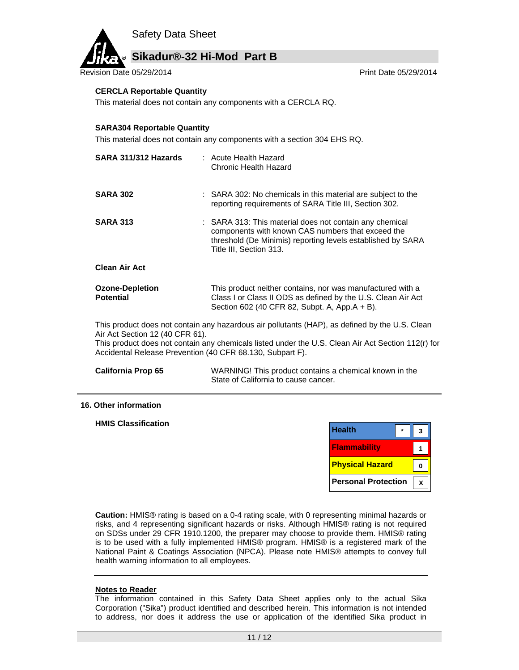# **Sikadur®-32 Hi-Mod Part B**

Revision Date 05/29/2014 **Print Date 05/29/2014** Print Date 05/29/2014

#### **CERCLA Reportable Quantity**

This material does not contain any components with a CERCLA RQ.

#### **SARA304 Reportable Quantity**

This material does not contain any components with a section 304 EHS RQ.

| SARA 311/312 Hazards                                                                                                                                                                                                                                                                                 | $:$ Acute Health Hazard<br>Chronic Health Hazard                                                                                                                                                       |  |  |
|------------------------------------------------------------------------------------------------------------------------------------------------------------------------------------------------------------------------------------------------------------------------------------------------------|--------------------------------------------------------------------------------------------------------------------------------------------------------------------------------------------------------|--|--|
| <b>SARA 302</b>                                                                                                                                                                                                                                                                                      | : SARA 302: No chemicals in this material are subject to the<br>reporting requirements of SARA Title III, Section 302.                                                                                 |  |  |
| <b>SARA 313</b>                                                                                                                                                                                                                                                                                      | : SARA 313: This material does not contain any chemical<br>components with known CAS numbers that exceed the<br>threshold (De Minimis) reporting levels established by SARA<br>Title III, Section 313. |  |  |
| <b>Clean Air Act</b>                                                                                                                                                                                                                                                                                 |                                                                                                                                                                                                        |  |  |
| <b>Ozone-Depletion</b><br><b>Potential</b>                                                                                                                                                                                                                                                           | This product neither contains, nor was manufactured with a<br>Class I or Class II ODS as defined by the U.S. Clean Air Act<br>Section 602 (40 CFR 82, Subpt. A, App.A + B).                            |  |  |
| This product does not contain any hazardous air pollutants (HAP), as defined by the U.S. Clean<br>Air Act Section 12 (40 CFR 61).<br>This product does not contain any chemicals listed under the U.S. Clean Air Act Section 112(r) for<br>Accidental Release Prevention (40 CFR 68.130, Subpart F). |                                                                                                                                                                                                        |  |  |
| <b>California Prop 65</b>                                                                                                                                                                                                                                                                            | WARNING! This product contains a chemical known in the<br>State of California to cause cancer.                                                                                                         |  |  |

#### **16. Other information**

**HMIS Classification** 

| <b>Health</b>              |  |
|----------------------------|--|
| <b>Flammability</b>        |  |
| <b>Physical Hazard</b>     |  |
| <b>Personal Protection</b> |  |

**Caution:** HMIS® rating is based on a 0-4 rating scale, with 0 representing minimal hazards or risks, and 4 representing significant hazards or risks. Although HMIS® rating is not required on SDSs under 29 CFR 1910.1200, the preparer may choose to provide them. HMIS® rating is to be used with a fully implemented HMIS® program. HMIS® is a registered mark of the National Paint & Coatings Association (NPCA). Please note HMIS® attempts to convey full health warning information to all employees.

#### **Notes to Reader**

The information contained in this Safety Data Sheet applies only to the actual Sika Corporation ("Sika") product identified and described herein. This information is not intended to address, nor does it address the use or application of the identified Sika product in